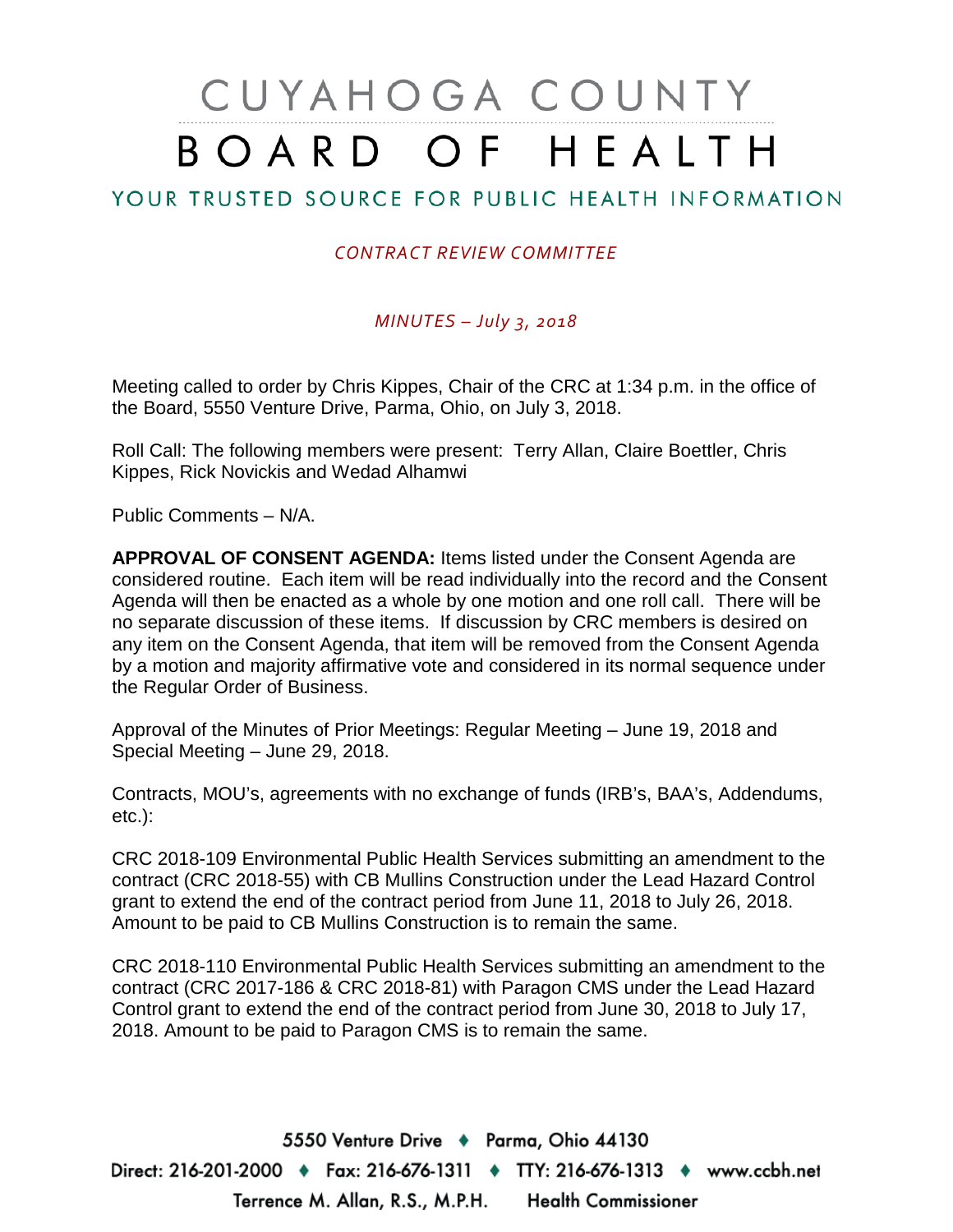# CUYAHOGA COUNTY BOARD OF HEALTH

## YOUR TRUSTED SOURCE FOR PUBLIC HEALTH INFORMATION

#### *CONTRACT REVIEW COMMITTEE*

#### *MINUTES – July 3, 2018*

Meeting called to order by Chris Kippes, Chair of the CRC at 1:34 p.m. in the office of the Board, 5550 Venture Drive, Parma, Ohio, on July 3, 2018.

Roll Call: The following members were present: Terry Allan, Claire Boettler, Chris Kippes, Rick Novickis and Wedad Alhamwi

Public Comments – N/A.

**APPROVAL OF CONSENT AGENDA:** Items listed under the Consent Agenda are considered routine. Each item will be read individually into the record and the Consent Agenda will then be enacted as a whole by one motion and one roll call. There will be no separate discussion of these items. If discussion by CRC members is desired on any item on the Consent Agenda, that item will be removed from the Consent Agenda by a motion and majority affirmative vote and considered in its normal sequence under the Regular Order of Business.

Approval of the Minutes of Prior Meetings: Regular Meeting – June 19, 2018 and Special Meeting – June 29, 2018.

Contracts, MOU's, agreements with no exchange of funds (IRB's, BAA's, Addendums, etc.):

CRC 2018-109 Environmental Public Health Services submitting an amendment to the contract (CRC 2018-55) with CB Mullins Construction under the Lead Hazard Control grant to extend the end of the contract period from June 11, 2018 to July 26, 2018. Amount to be paid to CB Mullins Construction is to remain the same.

CRC 2018-110 Environmental Public Health Services submitting an amendment to the contract (CRC 2017-186 & CRC 2018-81) with Paragon CMS under the Lead Hazard Control grant to extend the end of the contract period from June 30, 2018 to July 17, 2018. Amount to be paid to Paragon CMS is to remain the same.

5550 Venture Drive + Parma, Ohio 44130 Direct: 216-201-2000 ♦ Fax: 216-676-1311 ♦ TTY: 216-676-1313 ♦ www.ccbh.net Terrence M. Allan, R.S., M.P.H. Health Commissioner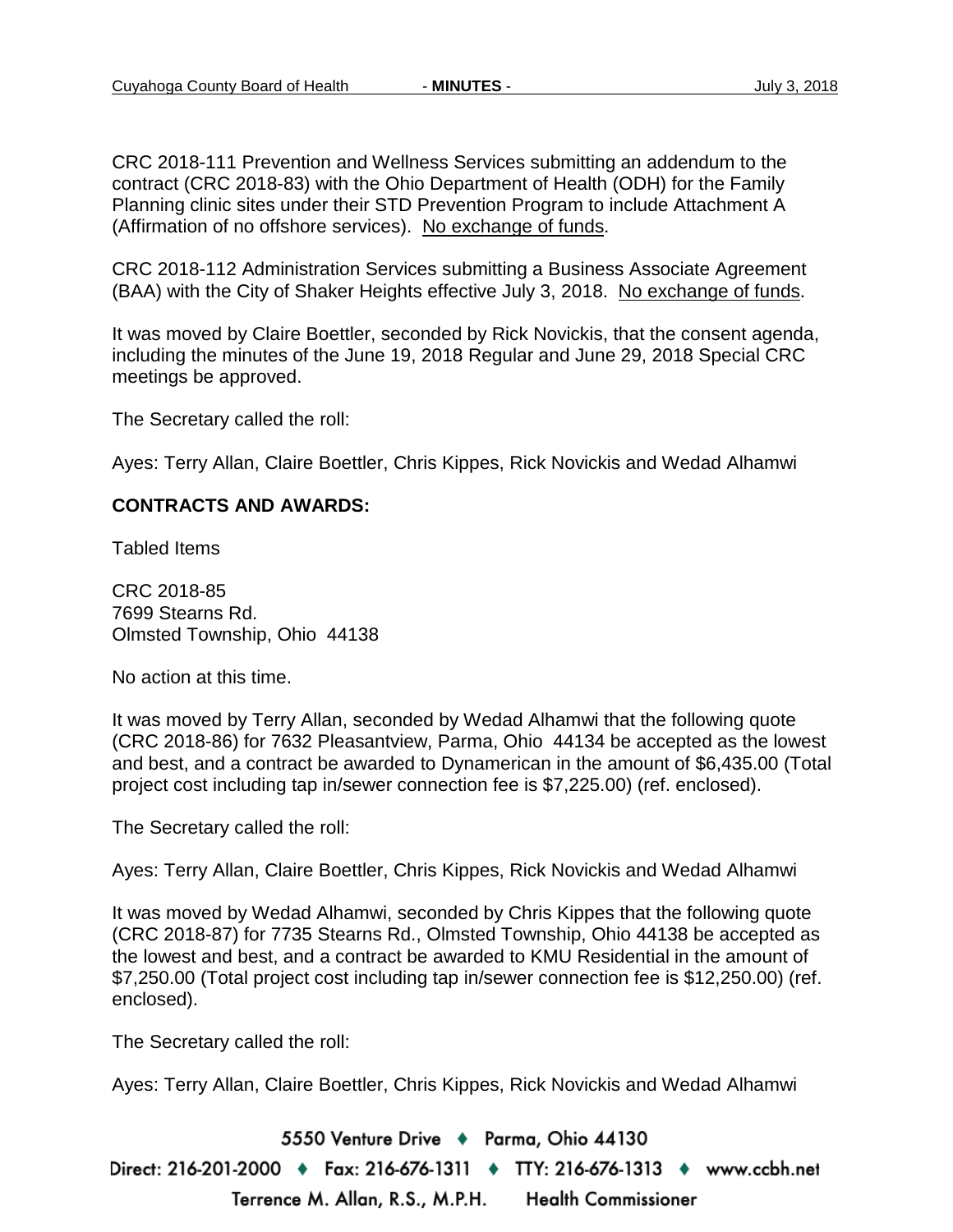CRC 2018-111 Prevention and Wellness Services submitting an addendum to the contract (CRC 2018-83) with the Ohio Department of Health (ODH) for the Family Planning clinic sites under their STD Prevention Program to include Attachment A (Affirmation of no offshore services). No exchange of funds.

CRC 2018-112 Administration Services submitting a Business Associate Agreement (BAA) with the City of Shaker Heights effective July 3, 2018. No exchange of funds.

It was moved by Claire Boettler, seconded by Rick Novickis, that the consent agenda, including the minutes of the June 19, 2018 Regular and June 29, 2018 Special CRC meetings be approved.

The Secretary called the roll:

Ayes: Terry Allan, Claire Boettler, Chris Kippes, Rick Novickis and Wedad Alhamwi

#### **CONTRACTS AND AWARDS:**

Tabled Items

CRC 2018-85 7699 Stearns Rd. Olmsted Township, Ohio 44138

No action at this time.

It was moved by Terry Allan, seconded by Wedad Alhamwi that the following quote (CRC 2018-86) for 7632 Pleasantview, Parma, Ohio 44134 be accepted as the lowest and best, and a contract be awarded to Dynamerican in the amount of \$6,435.00 (Total project cost including tap in/sewer connection fee is \$7,225.00) (ref. enclosed).

The Secretary called the roll:

Ayes: Terry Allan, Claire Boettler, Chris Kippes, Rick Novickis and Wedad Alhamwi

It was moved by Wedad Alhamwi, seconded by Chris Kippes that the following quote (CRC 2018-87) for 7735 Stearns Rd., Olmsted Township, Ohio 44138 be accepted as the lowest and best, and a contract be awarded to KMU Residential in the amount of \$7,250.00 (Total project cost including tap in/sewer connection fee is \$12,250.00) (ref. enclosed).

The Secretary called the roll:

Ayes: Terry Allan, Claire Boettler, Chris Kippes, Rick Novickis and Wedad Alhamwi

5550 Venture Drive + Parma, Ohio 44130

Direct: 216-201-2000 ♦ Fax: 216-676-1311 ♦ TTY: 216-676-1313 ♦ www.ccbh.net Terrence M. Allan, R.S., M.P.H. **Health Commissioner**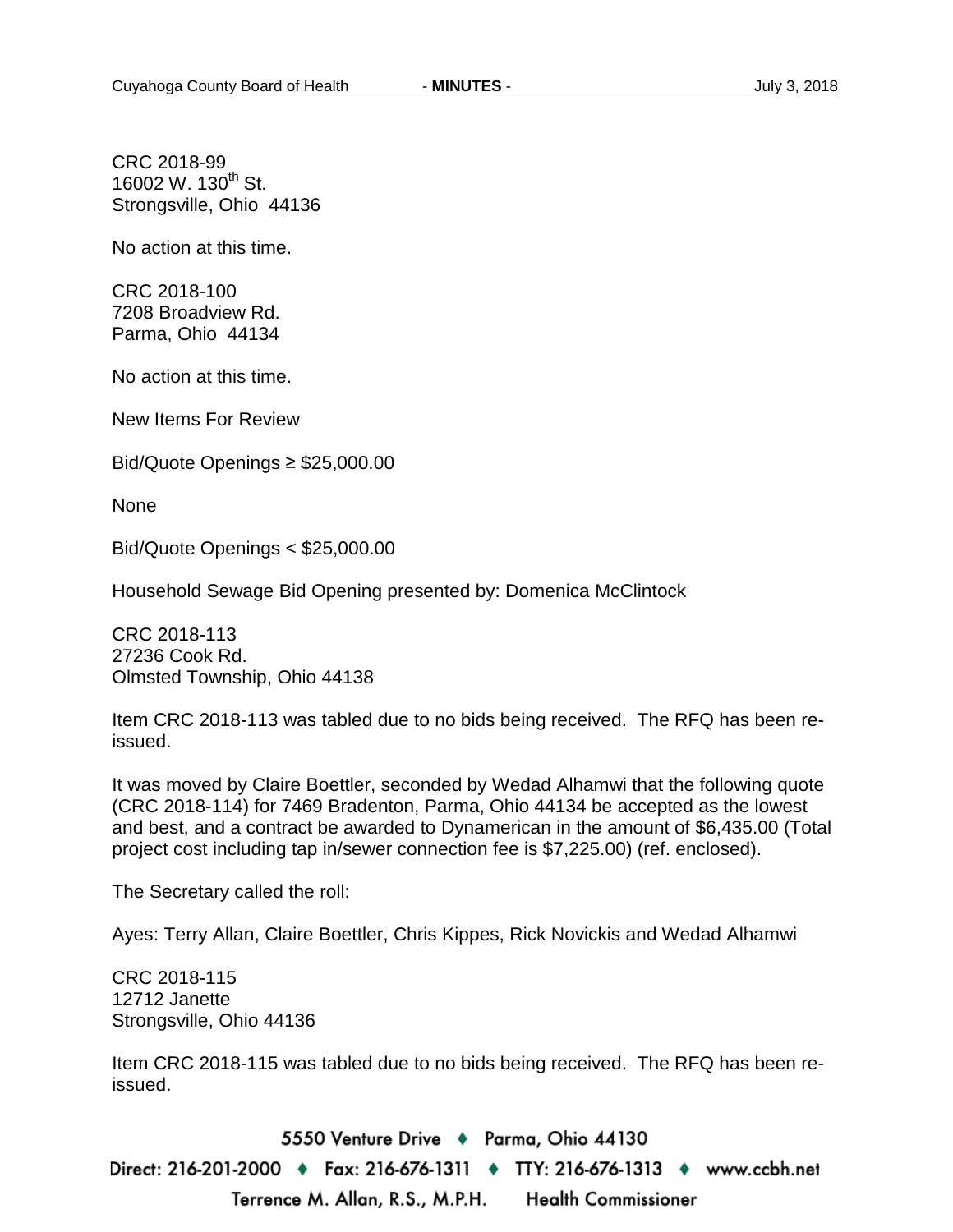CRC 2018-99 16002 W. 130<sup>th</sup> St. Strongsville, Ohio 44136

No action at this time.

CRC 2018-100 7208 Broadview Rd. Parma, Ohio 44134

No action at this time.

New Items For Review

Bid/Quote Openings ≥ \$25,000.00

None

Bid/Quote Openings < \$25,000.00

Household Sewage Bid Opening presented by: Domenica McClintock

CRC 2018-113 27236 Cook Rd. Olmsted Township, Ohio 44138

Item CRC 2018-113 was tabled due to no bids being received. The RFQ has been reissued.

It was moved by Claire Boettler, seconded by Wedad Alhamwi that the following quote (CRC 2018-114) for 7469 Bradenton, Parma, Ohio 44134 be accepted as the lowest and best, and a contract be awarded to Dynamerican in the amount of \$6,435.00 (Total project cost including tap in/sewer connection fee is \$7,225.00) (ref. enclosed).

The Secretary called the roll:

Ayes: Terry Allan, Claire Boettler, Chris Kippes, Rick Novickis and Wedad Alhamwi

CRC 2018-115 12712 Janette Strongsville, Ohio 44136

Item CRC 2018-115 was tabled due to no bids being received. The RFQ has been reissued.

5550 Venture Drive + Parma, Ohio 44130 Direct: 216-201-2000 ♦ Fax: 216-676-1311 ♦ TTY: 216-676-1313 ♦ www.ccbh.net Terrence M. Allan, R.S., M.P.H. **Health Commissioner**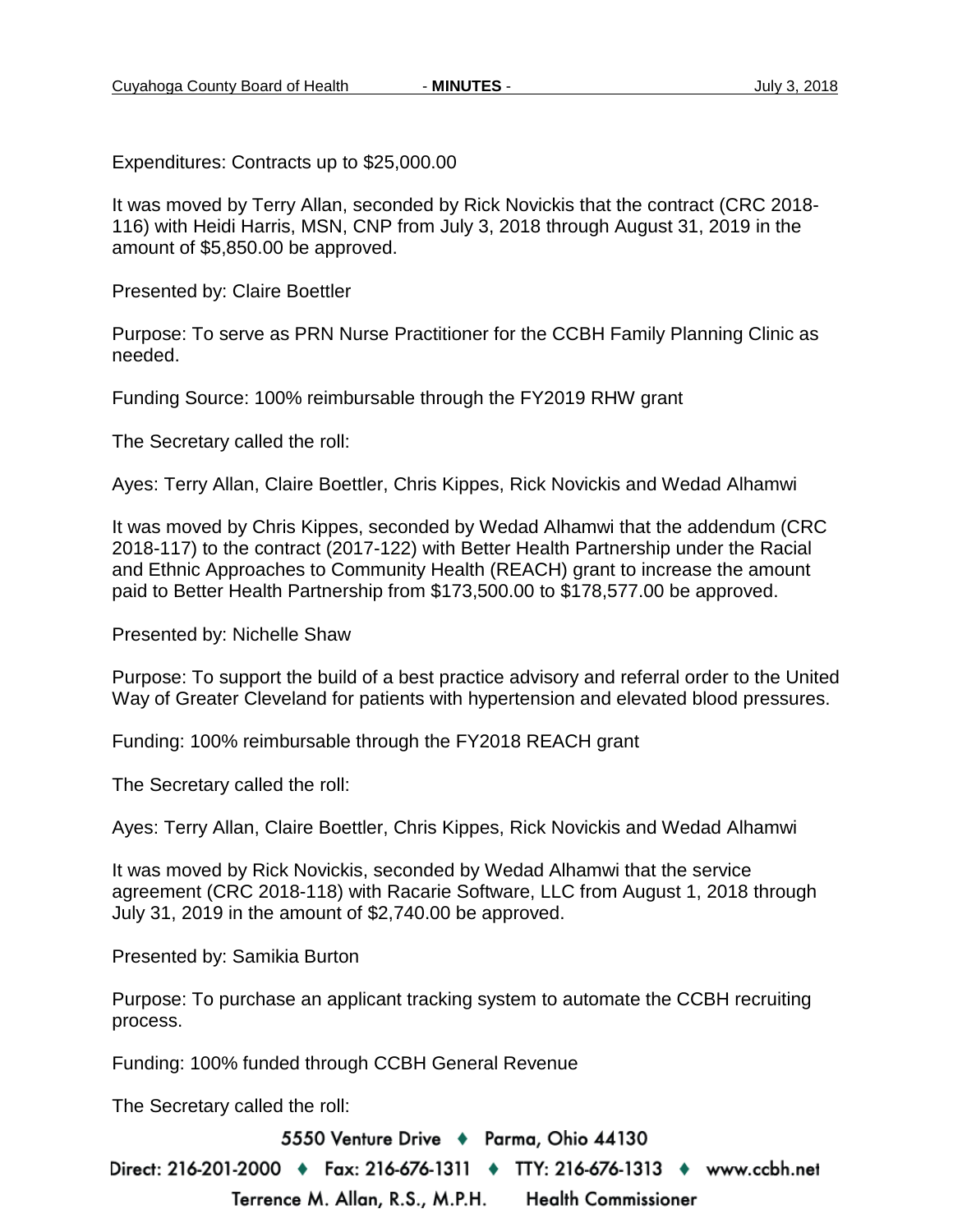Expenditures: Contracts up to \$25,000.00

It was moved by Terry Allan, seconded by Rick Novickis that the contract (CRC 2018- 116) with Heidi Harris, MSN, CNP from July 3, 2018 through August 31, 2019 in the amount of \$5,850.00 be approved.

Presented by: Claire Boettler

Purpose: To serve as PRN Nurse Practitioner for the CCBH Family Planning Clinic as needed.

Funding Source: 100% reimbursable through the FY2019 RHW grant

The Secretary called the roll:

Ayes: Terry Allan, Claire Boettler, Chris Kippes, Rick Novickis and Wedad Alhamwi

It was moved by Chris Kippes, seconded by Wedad Alhamwi that the addendum (CRC 2018-117) to the contract (2017-122) with Better Health Partnership under the Racial and Ethnic Approaches to Community Health (REACH) grant to increase the amount paid to Better Health Partnership from \$173,500.00 to \$178,577.00 be approved.

Presented by: Nichelle Shaw

Purpose: To support the build of a best practice advisory and referral order to the United Way of Greater Cleveland for patients with hypertension and elevated blood pressures.

Funding: 100% reimbursable through the FY2018 REACH grant

The Secretary called the roll:

Ayes: Terry Allan, Claire Boettler, Chris Kippes, Rick Novickis and Wedad Alhamwi

It was moved by Rick Novickis, seconded by Wedad Alhamwi that the service agreement (CRC 2018-118) with Racarie Software, LLC from August 1, 2018 through July 31, 2019 in the amount of \$2,740.00 be approved.

Presented by: Samikia Burton

Purpose: To purchase an applicant tracking system to automate the CCBH recruiting process.

Funding: 100% funded through CCBH General Revenue

The Secretary called the roll:

5550 Venture Drive + Parma, Ohio 44130

Direct: 216-201-2000 ♦ Fax: 216-676-1311 ♦ TTY: 216-676-1313 ♦ www.ccbh.net Terrence M. Allan, R.S., M.P.H. **Health Commissioner**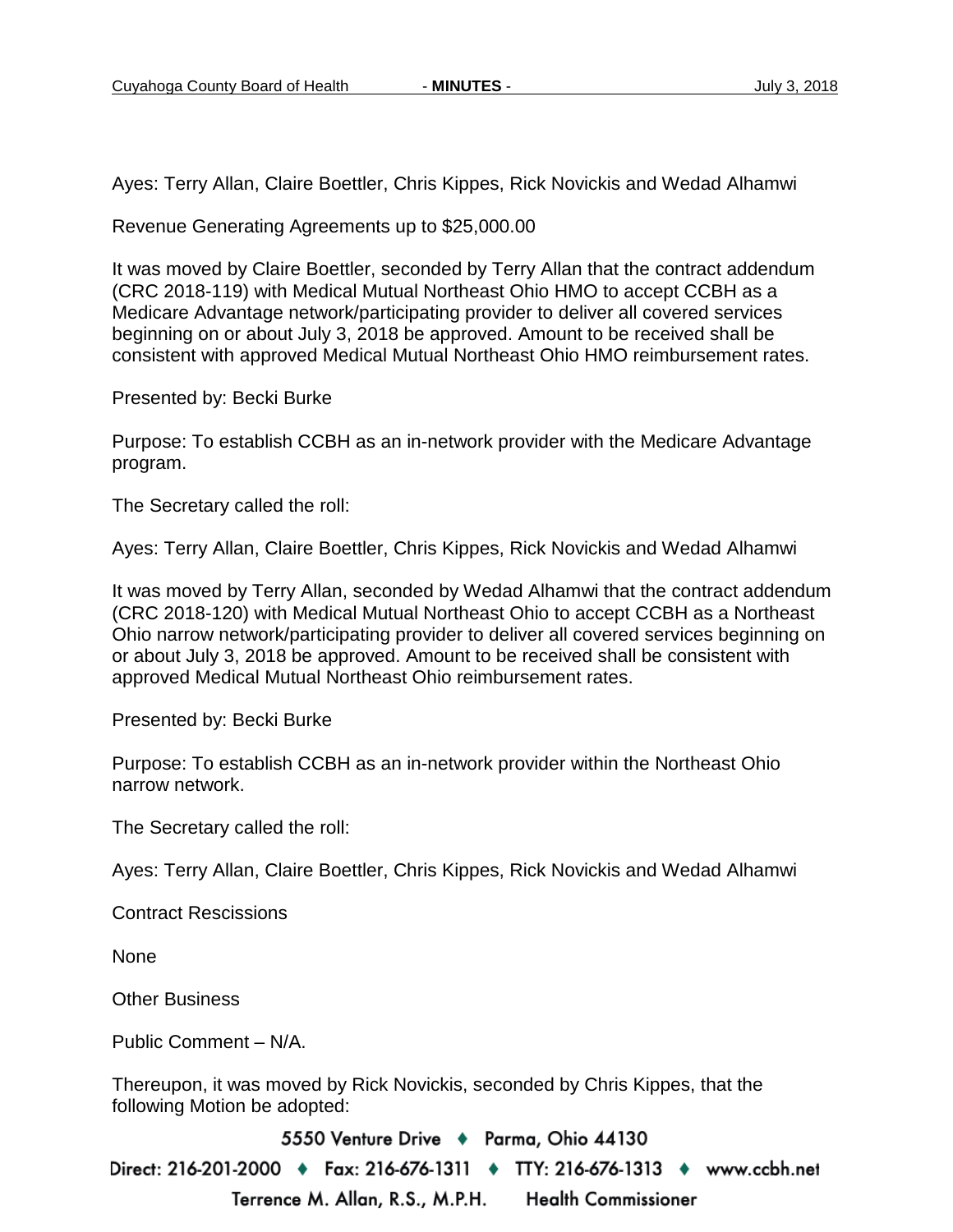Ayes: Terry Allan, Claire Boettler, Chris Kippes, Rick Novickis and Wedad Alhamwi

Revenue Generating Agreements up to \$25,000.00

It was moved by Claire Boettler, seconded by Terry Allan that the contract addendum (CRC 2018-119) with Medical Mutual Northeast Ohio HMO to accept CCBH as a Medicare Advantage network/participating provider to deliver all covered services beginning on or about July 3, 2018 be approved. Amount to be received shall be consistent with approved Medical Mutual Northeast Ohio HMO reimbursement rates.

Presented by: Becki Burke

Purpose: To establish CCBH as an in-network provider with the Medicare Advantage program.

The Secretary called the roll:

Ayes: Terry Allan, Claire Boettler, Chris Kippes, Rick Novickis and Wedad Alhamwi

It was moved by Terry Allan, seconded by Wedad Alhamwi that the contract addendum (CRC 2018-120) with Medical Mutual Northeast Ohio to accept CCBH as a Northeast Ohio narrow network/participating provider to deliver all covered services beginning on or about July 3, 2018 be approved. Amount to be received shall be consistent with approved Medical Mutual Northeast Ohio reimbursement rates.

Presented by: Becki Burke

Purpose: To establish CCBH as an in-network provider within the Northeast Ohio narrow network.

The Secretary called the roll:

Ayes: Terry Allan, Claire Boettler, Chris Kippes, Rick Novickis and Wedad Alhamwi

Contract Rescissions

None

Other Business

Public Comment – N/A.

Thereupon, it was moved by Rick Novickis, seconded by Chris Kippes, that the following Motion be adopted:

5550 Venture Drive + Parma, Ohio 44130

Direct: 216-201-2000 ♦ Fax: 216-676-1311 ♦ TTY: 216-676-1313 ♦ www.ccbh.net Terrence M. Allan, R.S., M.P.H. **Health Commissioner**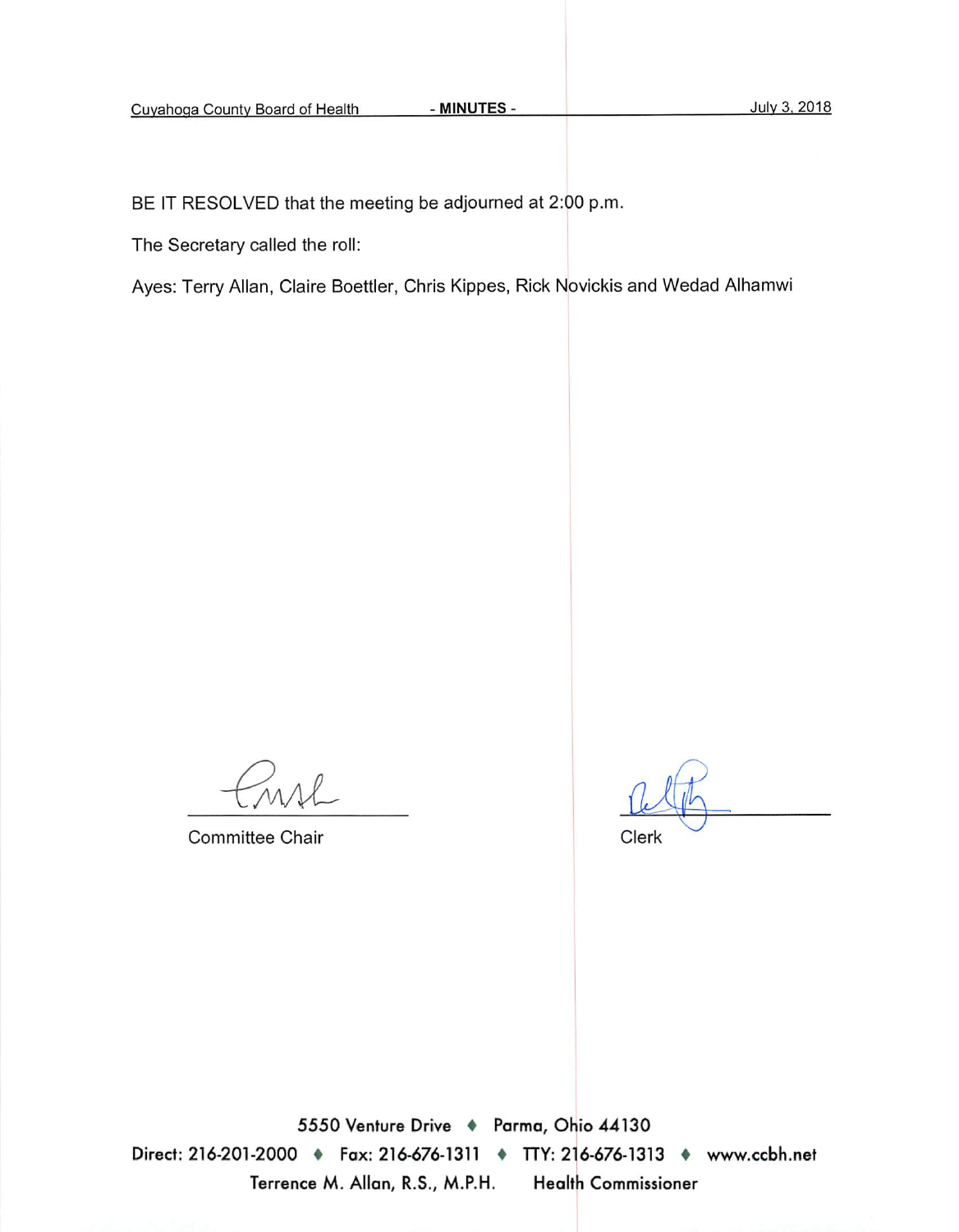BE IT RESOLVED that the meeting be adjourned at 2:00 p.m.

The Secretary called the roll:

Ayes: Terry Allan, Claire Boettler, Chris Kippes, Rick Novickis and Wedad Alhamwi

**Committee Chair** 

Clerk

5550 Venture Drive + Parma, Ohio 44130 Direct: 216-201-2000 • Fax: 216-676-1311 • TTY: 216-676-1313 • www.ccbh.net Terrence M. Allan, R.S., M.P.H. **Health Commissioner**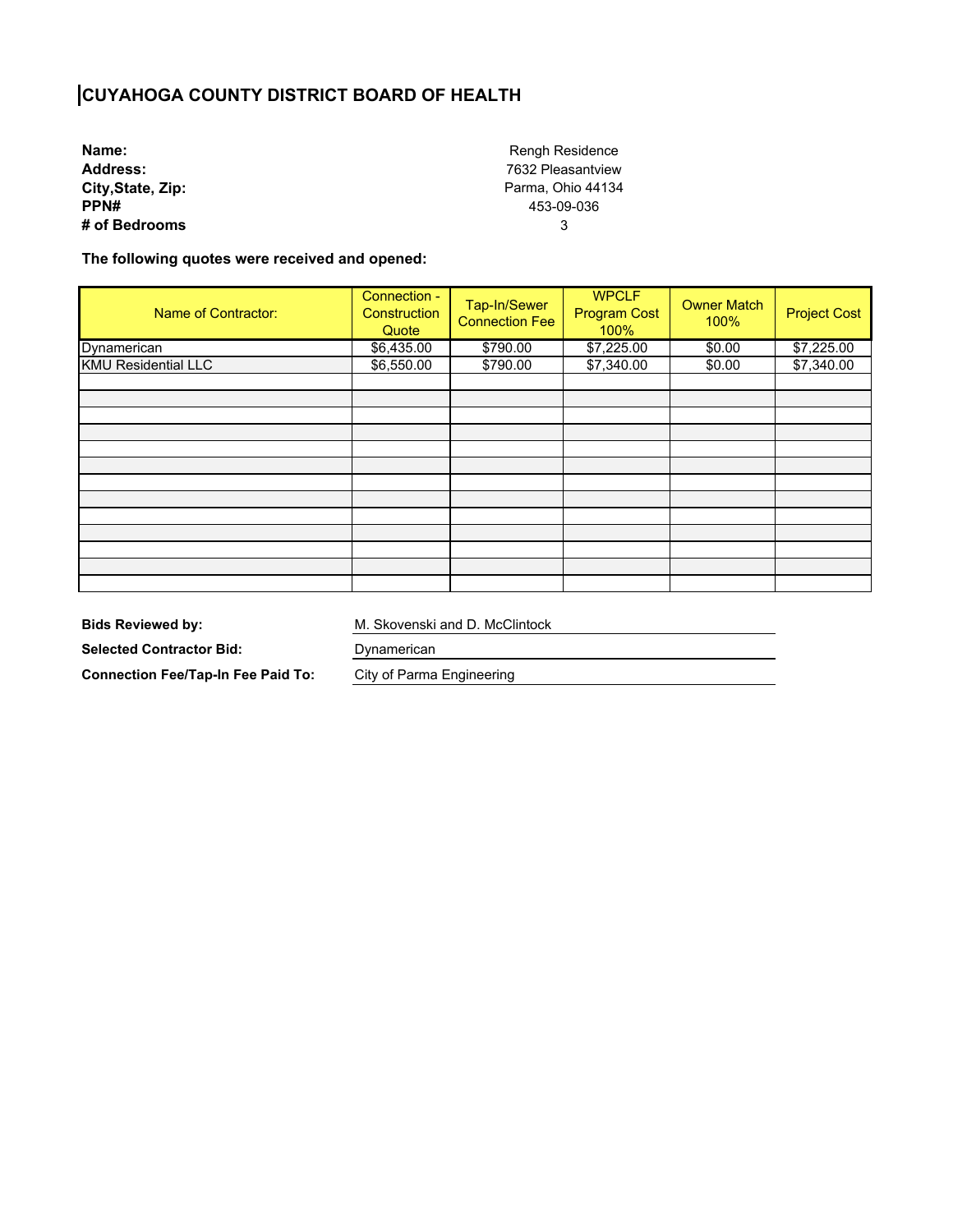## **CUYAHOGA COUNTY DISTRICT BOARD OF HEALTH**

**Name: Address: City,State, Zip: PPN# # of Bedrooms**

Rengh Residence 7632 Pleasantview Parma, Ohio 44134 453-09-036 3

**The following quotes were received and opened:** 

| Name of Contractor:        | Connection -<br>Construction<br>Quote | Tap-In/Sewer<br><b>Connection Fee</b> | <b>WPCLF</b><br><b>Program Cost</b><br>100% | <b>Owner Match</b><br>100% | <b>Project Cost</b> |
|----------------------------|---------------------------------------|---------------------------------------|---------------------------------------------|----------------------------|---------------------|
| Dynamerican                | \$6,435.00                            | \$790.00                              | \$7,225.00                                  | \$0.00                     | \$7,225.00          |
| <b>KMU Residential LLC</b> | \$6,550.00                            | \$790.00                              | \$7,340.00                                  | \$0.00                     | \$7,340.00          |
|                            |                                       |                                       |                                             |                            |                     |
|                            |                                       |                                       |                                             |                            |                     |
|                            |                                       |                                       |                                             |                            |                     |
|                            |                                       |                                       |                                             |                            |                     |
|                            |                                       |                                       |                                             |                            |                     |
|                            |                                       |                                       |                                             |                            |                     |
|                            |                                       |                                       |                                             |                            |                     |
|                            |                                       |                                       |                                             |                            |                     |
|                            |                                       |                                       |                                             |                            |                     |
|                            |                                       |                                       |                                             |                            |                     |
|                            |                                       |                                       |                                             |                            |                     |
|                            |                                       |                                       |                                             |                            |                     |
|                            |                                       |                                       |                                             |                            |                     |

**Bids Reviewed by:** 

M. Skovenski and D. McClintock

**Selected Contractor Bid:** 

**Connection Fee/Tap-In Fee Paid To:**  Dynamerican

City of Parma Engineering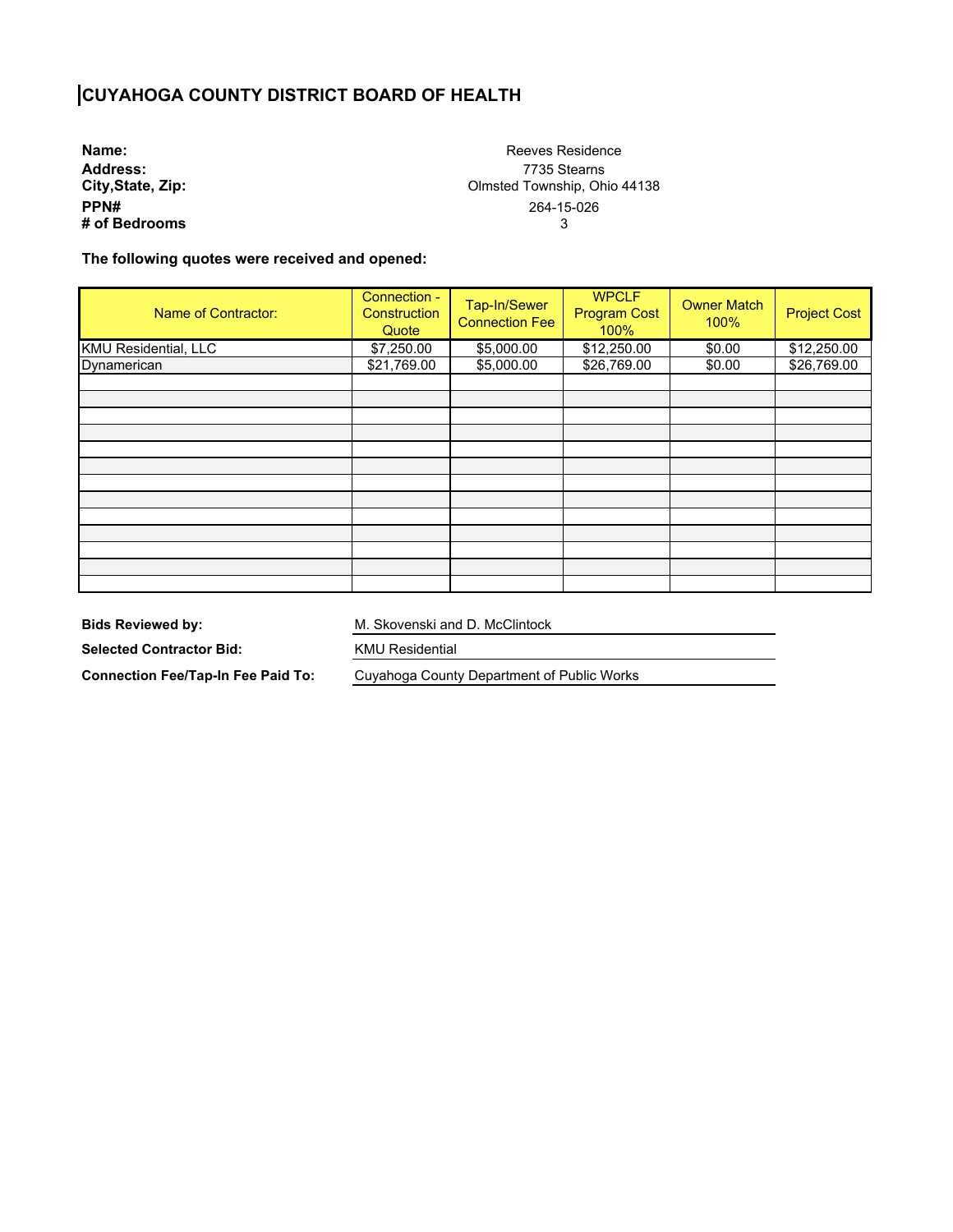## **CUYAHOGA COUNTY DISTRICT BOARD OF HEALTH**

**Name: Address: City,State, Zip: PPN# # of Bedrooms**

Reeves Residence 7735 Stearns Olmsted Township, Ohio 44138 264-15-026 3

**The following quotes were received and opened:** 

| Name of Contractor:         | Connection -<br>Construction<br>Quote | Tap-In/Sewer<br><b>Connection Fee</b> | <b>WPCLF</b><br><b>Program Cost</b><br>100% | <b>Owner Match</b><br>100% | <b>Project Cost</b> |
|-----------------------------|---------------------------------------|---------------------------------------|---------------------------------------------|----------------------------|---------------------|
| <b>KMU</b> Residential, LLC | \$7,250.00                            | \$5,000.00                            | \$12,250.00                                 | \$0.00                     | \$12,250.00         |
| Dynamerican                 | \$21,769.00                           | \$5,000.00                            | \$26,769.00                                 | \$0.00                     | \$26,769.00         |
|                             |                                       |                                       |                                             |                            |                     |
|                             |                                       |                                       |                                             |                            |                     |
|                             |                                       |                                       |                                             |                            |                     |
|                             |                                       |                                       |                                             |                            |                     |
|                             |                                       |                                       |                                             |                            |                     |
|                             |                                       |                                       |                                             |                            |                     |
|                             |                                       |                                       |                                             |                            |                     |
|                             |                                       |                                       |                                             |                            |                     |
|                             |                                       |                                       |                                             |                            |                     |
|                             |                                       |                                       |                                             |                            |                     |
|                             |                                       |                                       |                                             |                            |                     |
|                             |                                       |                                       |                                             |                            |                     |
|                             |                                       |                                       |                                             |                            |                     |

**Bids Reviewed by:** 

M. Skovenski and D. McClintock

**Selected Contractor Bid:** 

KMU Residential

**Connection Fee/Tap-In Fee Paid To:** 

Cuyahoga County Department of Public Works